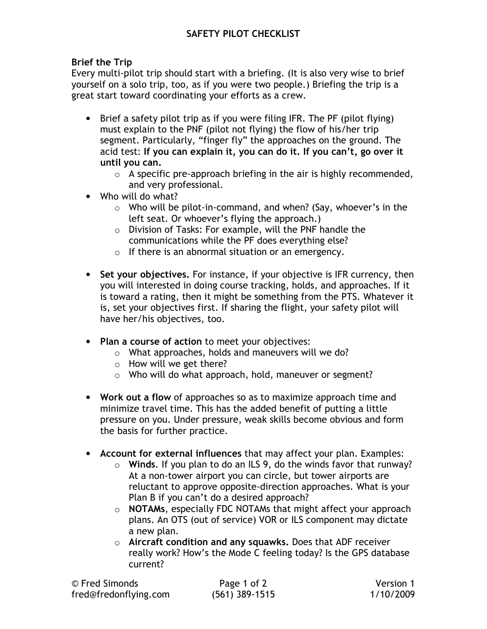## Brief the Trip

Every multi-pilot trip should start with a briefing. (It is also very wise to brief yourself on a solo trip, too, as if you were two people.) Briefing the trip is a great start toward coordinating your efforts as a crew.

- Brief a safety pilot trip as if you were filing IFR. The PF (pilot flying) must explain to the PNF (pilot not flying) the flow of his/her trip segment. Particularly, "finger fly" the approaches on the ground. The acid test: If you can explain it, you can do it. If you can't, go over it until you can.
	- $\circ$  A specific pre-approach briefing in the air is highly recommended, and very professional.
- Who will do what?
	- $\circ$  Who will be pilot-in-command, and when? (Say, whoever's in the left seat. Or whoever's flying the approach.)
	- o Division of Tasks: For example, will the PNF handle the communications while the PF does everything else?
	- o If there is an abnormal situation or an emergency.
- Set your objectives. For instance, if your objective is IFR currency, then you will interested in doing course tracking, holds, and approaches. If it is toward a rating, then it might be something from the PTS. Whatever it is, set your objectives first. If sharing the flight, your safety pilot will have her/his objectives, too.
- Plan a course of action to meet your objectives:
	- o What approaches, holds and maneuvers will we do?
	- o How will we get there?
	- o Who will do what approach, hold, maneuver or segment?
- Work out a flow of approaches so as to maximize approach time and minimize travel time. This has the added benefit of putting a little pressure on you. Under pressure, weak skills become obvious and form the basis for further practice.
- Account for external influences that may affect your plan. Examples:
	- $\circ$  Winds. If you plan to do an ILS 9, do the winds favor that runway? At a non-tower airport you can circle, but tower airports are reluctant to approve opposite-direction approaches. What is your Plan B if you can't do a desired approach?
	- $\circ$  NOTAMs, especially FDC NOTAMs that might affect your approach plans. An OTS (out of service) VOR or ILS component may dictate a new plan.
	- $\circ$  Aircraft condition and any squawks. Does that ADF receiver really work? How's the Mode C feeling today? Is the GPS database current?

| © Fred Simonds        | Page 1 of 2      | Version 1 |
|-----------------------|------------------|-----------|
| fred@fredonflying.com | $(561)$ 389-1515 | 1/10/2009 |